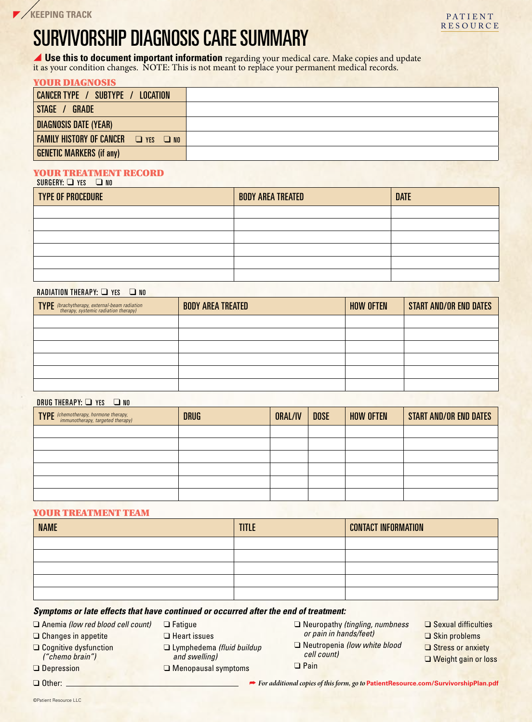# SURVIVORSHIP DIAGNOSIS CARE SUMMARY

**Use this to document important information** regarding your medical care. Make copies and update it as your condition changes. NOTE: This is not meant to replace your permanent medical records.

### YOUR DIAGNOSIS

| CANCER TYPE / SUBTYPE / LOCATION                        |  |
|---------------------------------------------------------|--|
| STAGE / GRADE                                           |  |
| <b>DIAGNOSIS DATE (YEAR)</b>                            |  |
| <b>FAMILY HISTORY OF CANCER</b><br>$\Box$ YES $\Box$ NO |  |
| <b>GENETIC MARKERS (if any)</b>                         |  |

#### YOUR TREATMENT RECORD  $SURGERN:  $\square$  YFS  $\square$  M$

| $00110111111 = 1100$     |                          |             |
|--------------------------|--------------------------|-------------|
| <b>TYPE OF PROCEDURE</b> | <b>BODY AREA TREATED</b> | <b>DATE</b> |
|                          |                          |             |
|                          |                          |             |
|                          |                          |             |
|                          |                          |             |
|                          |                          |             |
|                          |                          |             |

### RADIATION THERAPY: WHE YES **WARDIATION**

| <b>TYPE</b> (brachytherapy, external-beam radiation<br>therapy, systemic radiation therapy) | <b>BODY AREA TREATED</b> | <b>HOW OFTEN</b> | <b>START AND/OR END DATES</b> |
|---------------------------------------------------------------------------------------------|--------------------------|------------------|-------------------------------|
|                                                                                             |                          |                  |                               |
|                                                                                             |                          |                  |                               |
|                                                                                             |                          |                  |                               |
|                                                                                             |                          |                  |                               |
|                                                                                             |                          |                  |                               |
|                                                                                             |                          |                  |                               |

### DRUG THERAPY: **□** YES ■ NO

| <b>TYPE</b> (chemotherapy, hormone therapy,<br>immunotherapy, targeted therapy) | <b>DRUG</b> | ORAL/IV | <b>DOSE</b> | <b>HOW OFTEN</b> | <b>START AND/OR END DATES</b> |
|---------------------------------------------------------------------------------|-------------|---------|-------------|------------------|-------------------------------|
|                                                                                 |             |         |             |                  |                               |
|                                                                                 |             |         |             |                  |                               |
|                                                                                 |             |         |             |                  |                               |
|                                                                                 |             |         |             |                  |                               |
|                                                                                 |             |         |             |                  |                               |
|                                                                                 |             |         |             |                  |                               |

### YOUR TREATMENT TEAM

| <b>NAME</b> | <b>TITLE</b> | <b>CONTACT INFORMATION</b> |
|-------------|--------------|----------------------------|
|             |              |                            |
|             |              |                            |
|             |              |                            |
|             |              |                            |
|             |              |                            |

#### *Symptoms or late effects that have continued or occurred after the end of treatment:*

 $\Box$  Fatique  $\Box$  Heart issues

� Anemia *(low red blood cell count)*

 $\Box$  Changes in appetite

 $\Box$  Cognitive dysfunction *("chemo brain")*

 $\Box$  Depression

- -
- � Lymphedema *(fluid buildup and swelling)*  $\Box$  Menopausal symptoms
- � Neuropathy *(tingling, numbness or pain in hands/feet)*
- � Neutropenia *(low white blood cell count)* � Pain
- $\Box$  Sexual difficulties
- $\Box$  Skin problems
- Stress or anxiety
- $\Box$  Weight gain or loss

 $\Box$  Other:  $\Box$ 

� *For additional copies of this form, go to* **PatientResource.com/SurvivorshipPlan.pdf**